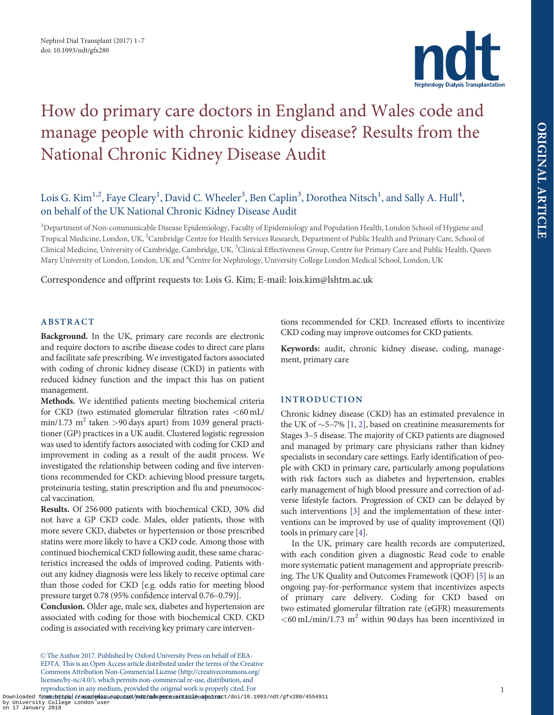

# <span id="page-0-0"></span>How do primary care doctors in England and Wales code and manage people with chronic kidney disease? Results from the National Chronic Kidney Disease Audit

# Lois G. Kim<sup>1,2</sup>, Faye Cleary<sup>1</sup>, David C. Wheeler<sup>3</sup>, Ben Caplin<sup>3</sup>, Dorothea Nitsch<sup>1</sup>, and Sally A. Hull<sup>4</sup>, on behalf of the UK National Chronic Kidney Disease Audit

<sup>1</sup>Department of Non-communicable Disease Epidemiology, Faculty of Epidemiology and Population Health, London School of Hygiene and Tropical Medicine, London, UK, <sup>2</sup>Cambridge Centre for Health Services Research, Department of Public Health and Primary Care, School of Clinical Medicine, University of Cambridge, Cambridge, UK, <sup>3</sup>Clinical Effectiveness Group, Centre for Primary Care and Public Health, Queen Mary University of London, London, UK and <sup>4</sup>Centre for Nephrology, University College London Medical School, London, UK

Correspondence and offprint requests to: Lois G. Kim; E-mail: lois.kim@lshtm.ac.uk

# ABSTRACT

Background. In the UK, primary care records are electronic and require doctors to ascribe disease codes to direct care plans and facilitate safe prescribing. We investigated factors associated with coding of chronic kidney disease (CKD) in patients with reduced kidney function and the impact this has on patient management.

Methods. We identified patients meeting biochemical criteria for CKD (two estimated glomerular filtration rates  $\langle 60 \text{ mL} \rangle$  $min/1.73$  m<sup>2</sup> taken >90 days apart) from 1039 general practitioner (GP) practices in a UK audit. Clustered logistic regression was used to identify factors associated with coding for CKD and improvement in coding as a result of the audit process. We investigated the relationship between coding and five interventions recommended for CKD: achieving blood pressure targets, proteinuria testing, statin prescription and flu and pneumococcal vaccination.

Results. Of 256 000 patients with biochemical CKD, 30% did not have a GP CKD code. Males, older patients, those with more severe CKD, diabetes or hypertension or those prescribed statins were more likely to have a CKD code. Among those with continued biochemical CKD following audit, these same characteristics increased the odds of improved coding. Patients without any kidney diagnosis were less likely to receive optimal care than those coded for CKD [e.g. odds ratio for meeting blood pressure target 0.78 (95% confidence interval 0.76–0.79)].

Conclusion. Older age, male sex, diabetes and hypertension are associated with coding for those with biochemical CKD. CKD coding is associated with receiving key primary care interventions recommended for CKD. Increased efforts to incentivize CKD coding may improve outcomes for CKD patients.

Keywords: audit, chronic kidney disease, coding, management, primary care

#### INTRODUCTION

Chronic kidney disease (CKD) has an estimated prevalence in the UK of  $\sim$ 5–7% [\[1,](#page-6-0) [2](#page-6-0)], based on creatinine measurements for Stages 3–5 disease. The majority of CKD patients are diagnosed and managed by primary care physicians rather than kidney specialists in secondary care settings. Early identification of people with CKD in primary care, particularly among populations with risk factors such as diabetes and hypertension, enables early management of high blood pressure and correction of adverse lifestyle factors. Progression of CKD can be delayed by such interventions [\[3\]](#page-6-0) and the implementation of these interventions can be improved by use of quality improvement (QI) tools in primary care [\[4](#page-6-0)].

In the UK, primary care health records are computerized, with each condition given a diagnostic Read code to enable more systematic patient management and appropriate prescribing. The UK Quality and Outcomes Framework (QOF) [[5\]](#page-6-0) is an ongoing pay-for-performance system that incentivizes aspects of primary care delivery. Coding for CKD based on two estimated glomerular filtration rate (eGFR) measurements  $<$  60 mL/min/1.73 m<sup>2</sup> within 90 days has been incentivized in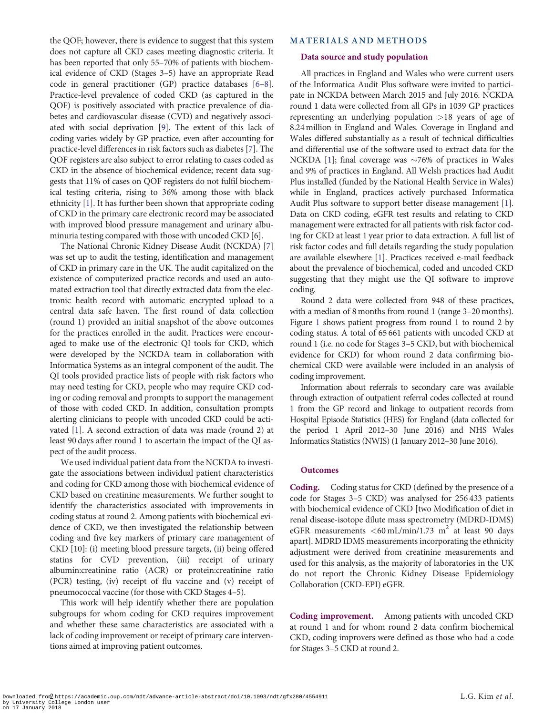of CKD in the primary care electronic record may be associated with improved blood pressure management and urinary albuminuria testing compared with those with uncoded CKD [6]. The National Chronic Kidney Disease Audit (NCKDA) [\[7](#page-6-0)] was set up to audit the testing, identification and management of CKD in primary care in the UK. The audit capitalized on the existence of computerized practice records and used an automated extraction tool that directly extracted data from the electronic health record with automatic encrypted upload to a central data safe haven. The first round of data collection (round 1) provided an initial snapshot of the above outcomes for the practices enrolled in the audit. Practices were encouraged to make use of the electronic QI tools for CKD, which were developed by the NCKDA team in collaboration with Informatica Systems as an integral component of the audit. The QI tools provided practice lists of people with risk factors who may need testing for CKD, people who may require CKD coding or coding removal and prompts to support the management of those with coded CKD. In addition, consultation prompts alerting clinicians to people with uncoded CKD could be activated [[1](#page-6-0)]. A second extraction of data was made (round 2) at least 90 days after round 1 to ascertain the impact of the QI as-

<span id="page-1-0"></span>the QOF; however, there is evidence to suggest that this system does not capture all CKD cases meeting diagnostic criteria. It has been reported that only 55–70% of patients with biochemical evidence of CKD (Stages 3–5) have an appropriate Read code in general practitioner (GP) practice databases [[6–8](#page-6-0)]. Practice-level prevalence of coded CKD (as captured in the QOF) is positively associated with practice prevalence of diabetes and cardiovascular disease (CVD) and negatively associated with social deprivation [\[9](#page-6-0)]. The extent of this lack of coding varies widely by GP practice, even after accounting for practice-level differences in risk factors such as diabetes [[7](#page-6-0)]. The QOF registers are also subject to error relating to cases coded as CKD in the absence of biochemical evidence; recent data suggests that 11% of cases on QOF registers do not fulfil biochemical testing criteria, rising to 36% among those with black ethnicity [[1\]](#page-6-0). It has further been shown that appropriate coding

pect of the audit process. We used individual patient data from the NCKDA to investigate the associations between individual patient characteristics and coding for CKD among those with biochemical evidence of CKD based on creatinine measurements. We further sought to identify the characteristics associated with improvements in coding status at round 2. Among patients with biochemical evidence of CKD, we then investigated the relationship between coding and five key markers of primary care management of CKD [10]: (i) meeting blood pressure targets, (ii) being offered statins for CVD prevention, (iii) receipt of urinary albumin:creatinine ratio (ACR) or protein:creatinine ratio (PCR) testing, (iv) receipt of flu vaccine and (v) receipt of pneumococcal vaccine (for those with CKD Stages 4–5).

This work will help identify whether there are population subgroups for whom coding for CKD requires improvement and whether these same characteristics are associated with a lack of coding improvement or receipt of primary care interventions aimed at improving patient outcomes.

#### MATERIALS AND METHODS

#### Data source and study population

All practices in England and Wales who were current users of the Informatica Audit Plus software were invited to participate in NCKDA between March 2015 and July 2016. NCKDA round 1 data were collected from all GPs in 1039 GP practices representing an underlying population >18 years of age of 8.24 million in England and Wales. Coverage in England and Wales differed substantially as a result of technical difficulties and differential use of the software used to extract data for the NCKDA [\[1\]](#page-6-0); final coverage was  $\sim$ 76% of practices in Wales and 9% of practices in England. All Welsh practices had Audit Plus installed (funded by the National Health Service in Wales) while in England, practices actively purchased Informatica Audit Plus software to support better disease management [[1](#page-6-0)]. Data on CKD coding, eGFR test results and relating to CKD management were extracted for all patients with risk factor coding for CKD at least 1 year prior to data extraction. A full list of risk factor codes and full details regarding the study population are available elsewhere [[1\]](#page-6-0). Practices received e-mail feedback about the prevalence of biochemical, coded and uncoded CKD suggesting that they might use the QI software to improve coding.

Round 2 data were collected from 948 of these practices, with a median of 8 months from round 1 (range 3–20 months). Figure [1](#page-2-0) shows patient progress from round 1 to round 2 by coding status. A total of 65 661 patients with uncoded CKD at round 1 (i.e. no code for Stages 3–5 CKD, but with biochemical evidence for CKD) for whom round 2 data confirming biochemical CKD were available were included in an analysis of coding improvement.

Information about referrals to secondary care was available through extraction of outpatient referral codes collected at round 1 from the GP record and linkage to outpatient records from Hospital Episode Statistics (HES) for England (data collected for the period 1 April 2012–30 June 2016) and NHS Wales Informatics Statistics (NWIS) (1 January 2012–30 June 2016).

#### **Outcomes**

Coding. Coding status for CKD (defined by the presence of a code for Stages 3–5 CKD) was analysed for 256 433 patients with biochemical evidence of CKD [two Modification of diet in renal disease-isotope dilute mass spectrometry (MDRD-IDMS) eGFR measurements  $\langle 60 \text{ mL/min}/1.73 \text{ m}^2$  at least 90 days apart]. MDRD IDMS measurements incorporating the ethnicity adjustment were derived from creatinine measurements and used for this analysis, as the majority of laboratories in the UK do not report the Chronic Kidney Disease Epidemiology Collaboration (CKD-EPI) eGFR.

Coding improvement. Among patients with uncoded CKD at round 1 and for whom round 2 data confirm biochemical CKD, coding improvers were defined as those who had a code for Stages 3–5 CKD at round 2.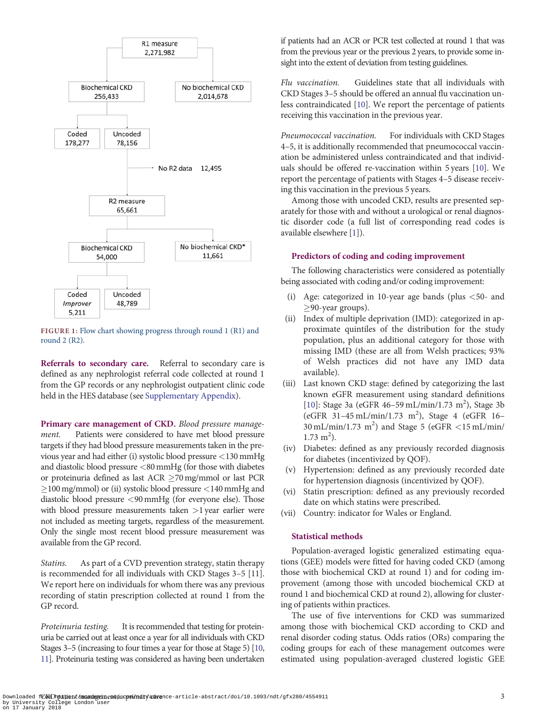<span id="page-2-0"></span>

FIGURE 1: Flow chart showing progress through round 1 (R1) and round 2 (R2).

Referrals to secondary care. Referral to secondary care is defined as any nephrologist referral code collected at round 1 from the GP records or any nephrologist outpatient clinic code held in the HES database (see [Supplementary Appendix\)](https://academic.oup.com/ndt/article-lookup/doi/10.1093/ndt/gfx280#supplementary-data).

Primary care management of CKD. Blood pressure management. Patients were considered to have met blood pressure targets if they had blood pressure measurements taken in the previous year and had either (i) systolic blood pressure <130 mmHg and diastolic blood pressure <80 mmHg (for those with diabetes or proteinuria defined as last ACR  $\geq$  70 mg/mmol or last PCR  $\geq$ 100 mg/mmol) or (ii) systolic blood pressure <140 mmHg and diastolic blood pressure <90 mmHg (for everyone else). Those with blood pressure measurements taken >1 year earlier were not included as meeting targets, regardless of the measurement. Only the single most recent blood pressure measurement was available from the GP record.

Statins. As part of a CVD prevention strategy, statin therapy is recommended for all individuals with CKD Stages 3–5 [11]. We report here on individuals for whom there was any previous recording of statin prescription collected at round 1 from the GP record.

Proteinuria testing. It is recommended that testing for proteinuria be carried out at least once a year for all individuals with CKD Stages 3–5 (increasing to four times a year for those at Stage 5) [\[10](#page-6-0), [11\]](#page-6-0). Proteinuria testing was considered as having been undertaken if patients had an ACR or PCR test collected at round 1 that was from the previous year or the previous 2 years, to provide some insight into the extent of deviation from testing guidelines.

Flu vaccination. Guidelines state that all individuals with CKD Stages 3–5 should be offered an annual flu vaccination unless contraindicated [[10\]](#page-6-0). We report the percentage of patients receiving this vaccination in the previous year.

Pneumococcal vaccination. For individuals with CKD Stages 4–5, it is additionally recommended that pneumococcal vaccination be administered unless contraindicated and that individuals should be offered re-vaccination within 5 years [[10](#page-6-0)]. We report the percentage of patients with Stages 4–5 disease receiving this vaccination in the previous 5 years.

Among those with uncoded CKD, results are presented separately for those with and without a urological or renal diagnostic disorder code (a full list of corresponding read codes is available elsewhere [\[1](#page-6-0)]).

#### Predictors of coding and coding improvement

The following characteristics were considered as potentially being associated with coding and/or coding improvement:

- (i) Age: categorized in 10-year age bands (plus  $\lt 50$  and  $\geq$ 90-year groups).
- (ii) Index of multiple deprivation (IMD): categorized in approximate quintiles of the distribution for the study population, plus an additional category for those with missing IMD (these are all from Welsh practices; 93% of Welsh practices did not have any IMD data available).
- (iii) Last known CKD stage: defined by categorizing the last known eGFR measurement using standard definitions [[10\]](#page-6-0): Stage 3a (eGFR 46-59 mL/min/1.73 m<sup>2</sup>), Stage 3b (eGFR 31-45 mL/min/1.73 m<sup>2</sup>), Stage 4 (eGFR 16- $30 \text{ mL/min}/1.73 \text{ m}^2$ ) and Stage 5 (eGFR <15 mL/min/  $1.73 \text{ m}^2$ ).
- (iv) Diabetes: defined as any previously recorded diagnosis for diabetes (incentivized by QOF).
- (v) Hypertension: defined as any previously recorded date for hypertension diagnosis (incentivized by QOF).
- (vi) Statin prescription: defined as any previously recorded date on which statins were prescribed.
- (vii) Country: indicator for Wales or England.

#### Statistical methods

Population-averaged logistic generalized estimating equations (GEE) models were fitted for having coded CKD (among those with biochemical CKD at round 1) and for coding improvement (among those with uncoded biochemical CKD at round 1 and biochemical CKD at round 2), allowing for clustering of patients within practices.

The use of five interventions for CKD was summarized among those with biochemical CKD according to CKD and renal disorder coding status. Odds ratios (ORs) comparing the coding groups for each of these management outcomes were estimated using population-averaged clustered logistic GEE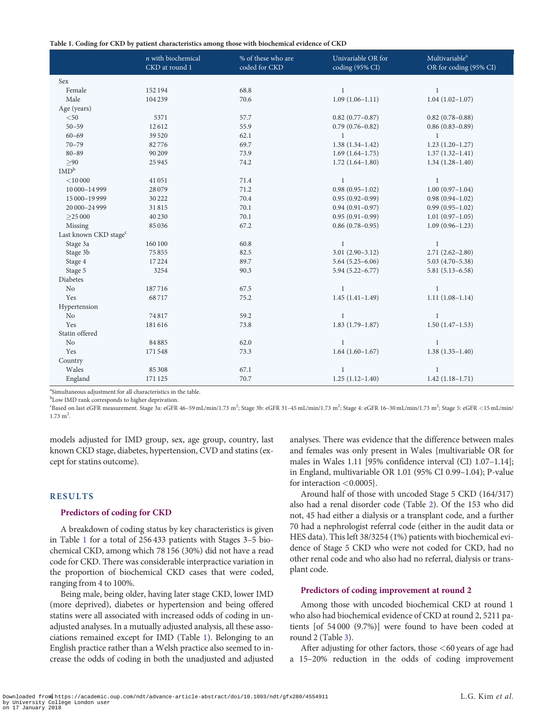Table 1. Coding for CKD by patient characteristics among those with biochemical evidence of CKD

|                                   | $n$ with biochemical<br>CKD at round 1 | % of these who are<br>coded for CKD | Univariable OR for<br>coding (95% CI) | Multivariable <sup>a</sup><br>OR for coding (95% CI) |
|-----------------------------------|----------------------------------------|-------------------------------------|---------------------------------------|------------------------------------------------------|
| Sex                               |                                        |                                     |                                       |                                                      |
| Female                            | 152 194                                | 68.8                                | $\mathbf{1}$                          | $\mathbf{1}$                                         |
| Male                              | 104 239                                | 70.6                                | $1.09(1.06 - 1.11)$                   | $1.04(1.02 - 1.07)$                                  |
| Age (years)                       |                                        |                                     |                                       |                                                      |
| $<$ 50                            | 5371                                   | 57.7                                | $0.82$ (0.77-0.87)                    | $0.82(0.78 - 0.88)$                                  |
| $50 - 59$                         | 12612                                  | 55.9                                | $0.79(0.76 - 0.82)$                   | $0.86(0.83 - 0.89)$                                  |
| $60 - 69$                         | 39 5 20                                | 62.1                                | $\mathbf{1}$                          | 1                                                    |
| $70 - 79$                         | 82776                                  | 69.7                                | $1.38(1.34-1.42)$                     | $1.23(1.20-1.27)$                                    |
| $80 - 89$                         | 90 20 9                                | 73.9                                | $1.69(1.64 - 1.75)$                   | $1.37(1.32 - 1.41)$                                  |
| >90                               | 25945                                  | 74.2                                | $1.72(1.64 - 1.80)$                   | $1.34(1.28-1.40)$                                    |
| IMD <sup>b</sup>                  |                                        |                                     |                                       |                                                      |
| $<$ 10 000                        | 41051                                  | 71.4                                | $\mathbf{1}$                          | $\mathbf{1}$                                         |
| 10 000-14 999                     | 28079                                  | 71.2                                | $0.98(0.95 - 1.02)$                   | $1.00(0.97-1.04)$                                    |
| 15 000-19 999                     | 30 222                                 | 70.4                                | $0.95(0.92 - 0.99)$                   | $0.98(0.94 - 1.02)$                                  |
| 20 000-24 999                     | 31815                                  | 70.1                                | $0.94(0.91 - 0.97)$                   | $0.99(0.95 - 1.02)$                                  |
| >25000                            | 40 230                                 | 70.1                                | $0.95(0.91 - 0.99)$                   | $1.01(0.97-1.05)$                                    |
| Missing                           | 85036                                  | 67.2                                | $0.86(0.78 - 0.95)$                   | $1.09(0.96 - 1.23)$                                  |
| Last known CKD stage <sup>c</sup> |                                        |                                     |                                       |                                                      |
| Stage 3a                          | 160 100                                | 60.8                                | $\mathbf{1}$                          | $\mathbf{1}$                                         |
| Stage 3b                          | 75855                                  | 82.5                                | $3.01(2.90-3.12)$                     | $2.71(2.62 - 2.80)$                                  |
| Stage 4                           | 17224                                  | 89.7                                | $5.64(5.25 - 6.06)$                   | $5.03(4.70 - 5.38)$                                  |
| Stage 5                           | 3254                                   | 90.3                                | $5.94(5.22 - 6.77)$                   | $5.81(5.13 - 6.58)$                                  |
| Diabetes                          |                                        |                                     |                                       |                                                      |
| No                                | 187716                                 | 67.5                                | $\mathbf{1}$                          | $\mathbf{1}$                                         |
| Yes                               | 68717                                  | 75.2                                | $1.45(1.41-1.49)$                     | $1.11(1.08-1.14)$                                    |
| Hypertension                      |                                        |                                     |                                       |                                                      |
| No                                | 74817                                  | 59.2                                | $\mathbf{1}$                          | $\mathbf{1}$                                         |
| Yes                               | 181616                                 | 73.8                                | $1.83(1.79-1.87)$                     | $1.50(1.47-1.53)$                                    |
| Statin offered                    |                                        |                                     |                                       |                                                      |
| No                                | 84885                                  | 62.0                                | $\mathbf{1}$                          | $\mathbf{1}$                                         |
| Yes                               | 171548                                 | 73.3                                | $1.64(1.60-1.67)$                     | $1.38(1.35-1.40)$                                    |
| Country                           |                                        |                                     |                                       |                                                      |
| Wales                             | 85 30 8                                | 67.1                                | $\mathbf{1}$                          | $\mathbf{1}$                                         |
| England                           | 171 125                                | 70.7                                | $1.25(1.12 - 1.40)$                   | $1.42(1.18-1.71)$                                    |

a Simultaneous adjustment for all characteristics in the table.

<sup>b</sup>Low IMD rank corresponds to higher deprivation.

"Based on last eGFR measurement. Stage 3a: eGFR 46-59 mL/min/1.73 m<sup>2</sup>; Stage 3b: eGFR 31-45 mL/min/1.73 m<sup>2</sup>; Stage 4: eGFR 16-30 mL/min/1.73 m<sup>2</sup>; Stage 5: eGFR <15 mL/min/  $1.73 \text{ m}^2$ .

models adjusted for IMD group, sex, age group, country, last known CKD stage, diabetes, hypertension, CVD and statins (except for statins outcome).

#### RESULTS

#### Predictors of coding for CKD

A breakdown of coding status by key characteristics is given in Table 1 for a total of 256 433 patients with Stages 3–5 biochemical CKD, among which 78 156 (30%) did not have a read code for CKD. There was considerable interpractice variation in the proportion of biochemical CKD cases that were coded, ranging from 4 to 100%.

Being male, being older, having later stage CKD, lower IMD (more deprived), diabetes or hypertension and being offered statins were all associated with increased odds of coding in unadjusted analyses. In a mutually adjusted analysis, all these associations remained except for IMD (Table 1). Belonging to an English practice rather than a Welsh practice also seemed to increase the odds of coding in both the unadjusted and adjusted analyses. There was evidence that the difference between males and females was only present in Wales {multivariable OR for males in Wales 1.11 [95% confidence interval (CI) 1.07–1.14]; in England, multivariable OR 1.01 (95% CI 0.99–1.04); P-value for interaction  $<$  0.0005}.

Around half of those with uncoded Stage 5 CKD (164/317) also had a renal disorder code (Table [2\)](#page-4-0). Of the 153 who did not, 45 had either a dialysis or a transplant code, and a further 70 had a nephrologist referral code (either in the audit data or HES data). This left 38/3254 (1%) patients with biochemical evidence of Stage 5 CKD who were not coded for CKD, had no other renal code and who also had no referral, dialysis or transplant code.

#### Predictors of coding improvement at round 2

Among those with uncoded biochemical CKD at round 1 who also had biochemical evidence of CKD at round 2, 5211 patients [of 54 000 (9.7%)] were found to have been coded at round 2 (Table [3](#page-4-0)).

After adjusting for other factors, those <60 years of age had a 15–20% reduction in the odds of coding improvement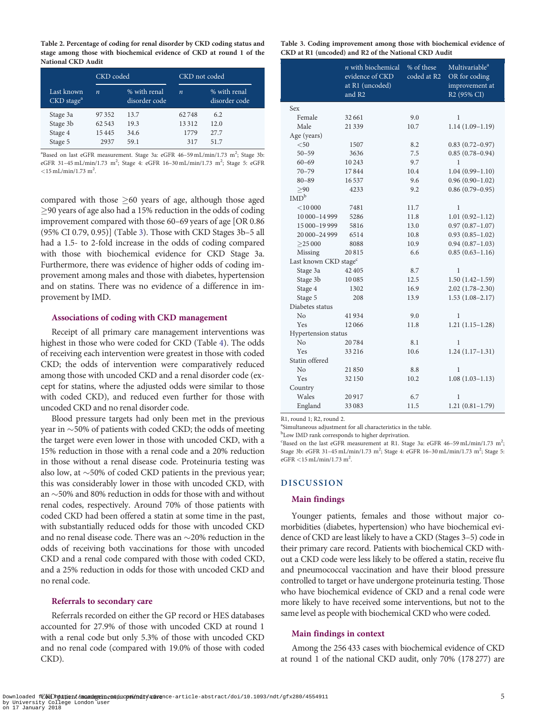<span id="page-4-0"></span>Table 2. Percentage of coding for renal disorder by CKD coding status and stage among those with biochemical evidence of CKD at round 1 of the National CKD Audit

|                                      | CKD coded        |                               | CKD not coded    |                               |  |
|--------------------------------------|------------------|-------------------------------|------------------|-------------------------------|--|
| Last known<br>CKD stage <sup>a</sup> | $\boldsymbol{n}$ | % with renal<br>disorder code | $\boldsymbol{n}$ | % with renal<br>disorder code |  |
| Stage 3a                             | 97352            | 13.7                          | 62748            | 6.2                           |  |
| Stage 3b                             | 62 543           | 19.3                          | 13312            | 12.0                          |  |
| Stage 4                              | 15445            | 34.6                          | 1779             | 27.7                          |  |
| Stage 5                              | 2937             | 59.1                          | 317              | 51.7                          |  |

<sup>a</sup>Based on last eGFR measurement. Stage 3a: eGFR 46-59 mL/min/1.73 m<sup>2</sup>; Stage 3b: eGFR 31-45 mL/min/1.73 m<sup>2</sup>; Stage 4: eGFR 16-30 mL/min/1.73 m<sup>2</sup>; Stage 5: eGFR  $<$ 15 mL/min/1.73 m<sup>2</sup>.

compared with those  $\geq 60$  years of age, although those aged  $\geq$ 90 years of age also had a 15% reduction in the odds of coding improvement compared with those 60–69 years of age [OR 0.86 (95% CI 0.79, 0.95)] (Table 3). Those with CKD Stages 3b–5 all had a 1.5- to 2-fold increase in the odds of coding compared with those with biochemical evidence for CKD Stage 3a. Furthermore, there was evidence of higher odds of coding improvement among males and those with diabetes, hypertension and on statins. There was no evidence of a difference in improvement by IMD.

#### Associations of coding with CKD management

Receipt of all primary care management interventions was highest in those who were coded for CKD (Table [4](#page-5-0)). The odds of receiving each intervention were greatest in those with coded CKD; the odds of intervention were comparatively reduced among those with uncoded CKD and a renal disorder code (except for statins, where the adjusted odds were similar to those with coded CKD), and reduced even further for those with uncoded CKD and no renal disorder code.

Blood pressure targets had only been met in the previous year in  $\sim$ 50% of patients with coded CKD; the odds of meeting the target were even lower in those with uncoded CKD, with a 15% reduction in those with a renal code and a 20% reduction in those without a renal disease code. Proteinuria testing was also low, at  $\sim$ 50% of coded CKD patients in the previous year; this was considerably lower in those with uncoded CKD, with an  $\sim$ 50% and 80% reduction in odds for those with and without renal codes, respectively. Around 70% of those patients with coded CKD had been offered a statin at some time in the past, with substantially reduced odds for those with uncoded CKD and no renal disease code. There was an  $\sim$ 20% reduction in the odds of receiving both vaccinations for those with uncoded CKD and a renal code compared with those with coded CKD, and a 25% reduction in odds for those with uncoded CKD and no renal code.

#### Referrals to secondary care

Referrals recorded on either the GP record or HES databases accounted for 27.9% of those with uncoded CKD at round 1 with a renal code but only 5.3% of those with uncoded CKD and no renal code (compared with 19.0% of those with coded CKD).

Table 3. Coding improvement among those with biochemical evidence of CKD at R1 (uncoded) and R2 of the National CKD Audit

|                                   | $n$ with biochemical<br>evidence of CKD<br>at R1 (uncoded)<br>and R <sub>2</sub> | % of these<br>coded at R2 | Multivariable <sup>a</sup><br>OR for coding<br>improvement at<br>R <sub>2</sub> (95% CI) |  |  |
|-----------------------------------|----------------------------------------------------------------------------------|---------------------------|------------------------------------------------------------------------------------------|--|--|
| Sex                               |                                                                                  |                           |                                                                                          |  |  |
| Female                            | 32661                                                                            | 9.0                       | 1                                                                                        |  |  |
| Male                              | 21339                                                                            | 10.7                      | $1.14(1.09-1.19)$                                                                        |  |  |
| Age (years)                       |                                                                                  |                           |                                                                                          |  |  |
| $<$ 50                            | 1507                                                                             | 8.2                       | $0.83(0.72 - 0.97)$                                                                      |  |  |
| $50 - 59$                         | 3636                                                                             | 7.5                       | $0.85(0.78 - 0.94)$                                                                      |  |  |
| $60 - 69$                         | 10243                                                                            | 9.7                       | 1                                                                                        |  |  |
| $70 - 79$                         | 17844                                                                            | 10.4                      | $1.04(0.99 - 1.10)$                                                                      |  |  |
| $80 - 89$                         | 16537                                                                            | 9.6                       | $0.96(0.90 - 1.02)$                                                                      |  |  |
| >90                               | 4233                                                                             | 9.2                       | $0.86(0.79 - 0.95)$                                                                      |  |  |
| IMD <sup>b</sup>                  |                                                                                  |                           |                                                                                          |  |  |
| $<$ 10 000                        | 7481                                                                             | 11.7                      | 1                                                                                        |  |  |
| 10 000-14 999                     | 5286                                                                             | 11.8                      | $1.01(0.92 - 1.12)$                                                                      |  |  |
| 15 000-19 999                     | 5816                                                                             | 13.0                      | $0.97(0.87 - 1.07)$                                                                      |  |  |
| 20 000-24 999                     | 6514                                                                             | 10.8                      | $0.93(0.85 - 1.02)$                                                                      |  |  |
| >25000                            | 8088                                                                             | 10.9                      | $0.94(0.87-1.03)$                                                                        |  |  |
| Missing                           | 20815                                                                            | 6.6                       | $0.85(0.63 - 1.16)$                                                                      |  |  |
| Last known CKD stage <sup>c</sup> |                                                                                  |                           |                                                                                          |  |  |
| Stage 3a                          | 42 40 5                                                                          | 8.7                       | 1                                                                                        |  |  |
| Stage 3b                          | 10085                                                                            | 12.5                      | $1.50(1.42 - 1.59)$                                                                      |  |  |
| Stage 4                           | 1302                                                                             | 16.9                      | $2.02(1.78-2.30)$                                                                        |  |  |
| Stage 5                           | 208                                                                              | 13.9                      | $1.53(1.08-2.17)$                                                                        |  |  |
| Diabetes status                   |                                                                                  |                           |                                                                                          |  |  |
| No                                | 41934                                                                            | 9.0                       | 1                                                                                        |  |  |
| Yes                               | 12066                                                                            | 11.8                      | $1.21(1.15-1.28)$                                                                        |  |  |
| Hypertension status               |                                                                                  |                           |                                                                                          |  |  |
| No                                | 20784                                                                            | 8.1                       | 1                                                                                        |  |  |
| Yes                               | 33216                                                                            | 10.6                      | $1.24(1.17-1.31)$                                                                        |  |  |
| Statin offered                    |                                                                                  |                           |                                                                                          |  |  |
| No                                | 21850                                                                            | 8.8                       | 1                                                                                        |  |  |
| Yes                               | 32 150                                                                           | 10.2                      | $1.08(1.03-1.13)$                                                                        |  |  |
| Country                           |                                                                                  |                           |                                                                                          |  |  |
| Wales                             | 20917                                                                            | 6.7                       | 1                                                                                        |  |  |
| England                           | 33083                                                                            | 11.5                      | $1.21(0.81-1.79)$                                                                        |  |  |

R1, round 1; R2, round 2.

a Simultaneous adjustment for all characteristics in the table.

<sup>b</sup>Low IMD rank corresponds to higher deprivation.

<sup>c</sup>Based on the last eGFR measurement at R1. Stage 3a: eGFR 46-59 mL/min/1.73 m<sup>2</sup>; Stage 3b: eGFR 31-45 mL/min/1.73 m<sup>2</sup>; Stage 4: eGFR 16-30 mL/min/1.73 m<sup>2</sup>; Stage 5:  $e$ GFR <15 mL/min/1.73 m<sup>2</sup>.

#### DISCUSSION

#### Main findings

Younger patients, females and those without major comorbidities (diabetes, hypertension) who have biochemical evidence of CKD are least likely to have a CKD (Stages 3–5) code in their primary care record. Patients with biochemical CKD without a CKD code were less likely to be offered a statin, receive flu and pneumococcal vaccination and have their blood pressure controlled to target or have undergone proteinuria testing. Those who have biochemical evidence of CKD and a renal code were more likely to have received some interventions, but not to the same level as people with biochemical CKD who were coded.

#### Main findings in context

Among the 256 433 cases with biochemical evidence of CKD at round 1 of the national CKD audit, only 70% (178 277) are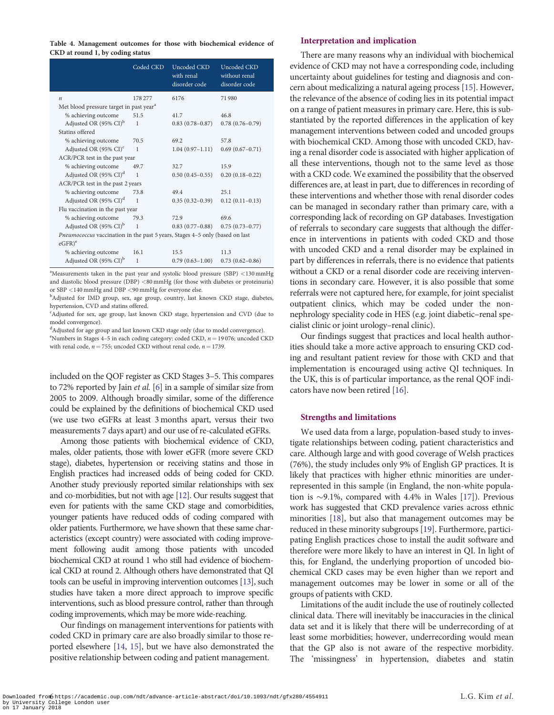<span id="page-5-0"></span>Table 4. Management outcomes for those with biochemical evidence of CKD at round 1, by coding status

|                                                                              | Coded CKD    | Uncoded CKD<br>with renal<br>disorder code | Uncoded CKD<br>without renal<br>disorder code |  |  |
|------------------------------------------------------------------------------|--------------|--------------------------------------------|-----------------------------------------------|--|--|
| $\boldsymbol{n}$                                                             | 178 277      | 6176                                       | 71980                                         |  |  |
| Met blood pressure target in past year <sup>a</sup>                          |              |                                            |                                               |  |  |
| % achieving outcome                                                          | 51.5         | 41.7                                       | 46.8                                          |  |  |
| Adjusted OR (95% CI) <sup>b</sup>                                            | $\mathbf{1}$ | $0.83(0.78 - 0.87)$                        | $0.78(0.76 - 0.79)$                           |  |  |
| Statins offered                                                              |              |                                            |                                               |  |  |
| % achieving outcome                                                          | 70.5         | 69.2                                       | 57.8                                          |  |  |
| Adjusted OR $(95\% \text{ CI})^c$                                            | $\mathbf{1}$ | $1.04(0.97-1.11)$                          | $0.69(0.67-0.71)$                             |  |  |
| ACR/PCR test in the past year                                                |              |                                            |                                               |  |  |
| % achieving outcome                                                          | 49.7         | 32.7                                       | 15.9                                          |  |  |
| Adjusted OR (95% CI) <sup>d</sup>                                            | $\mathbf{1}$ | $0.50(0.45-0.55)$                          | $0.20(0.18-0.22)$                             |  |  |
| ACR/PCR test in the past 2 years                                             |              |                                            |                                               |  |  |
| % achieving outcome                                                          | 73.8         | 49.4                                       | 25.1                                          |  |  |
| Adjusted OR (95% CI) <sup>d</sup>                                            | $\mathbf{1}$ | $0.35(0.32-0.39)$                          | $0.12(0.11 - 0.13)$                           |  |  |
| Flu vaccination in the past year                                             |              |                                            |                                               |  |  |
| % achieving outcome                                                          | 79.3         | 72.9                                       | 69.6                                          |  |  |
| Adjusted OR (95% CI) <sup>b</sup>                                            | $\mathbf{1}$ | $0.83(0.77-0.88)$                          | $0.75(0.73 - 0.77)$                           |  |  |
| Pneumococcus vaccination in the past 5 years, Stages 4-5 only (based on last |              |                                            |                                               |  |  |
| $eGFR)^e$                                                                    |              |                                            |                                               |  |  |
| % achieving outcome                                                          | 16.1         | 15.5                                       | 11.3                                          |  |  |
| Adjusted OR (95% CI) <sup>b</sup>                                            | 1            | $0.79(0.63 - 1.00)$                        | $0.73(0.62 - 0.86)$                           |  |  |

<sup>a</sup>Measurements taken in the past year and systolic blood pressure (SBP) <130 mmHg and diastolic blood pressure (DBP) <80 mmHg (for those with diabetes or proteinuria) or SBP <140 mmHg and DBP <90 mmHg for everyone else.

<sup>b</sup>Adjusted for IMD group, sex, age group, country, last known CKD stage, diabetes, hypertension, CVD and statins offered.

<sup>c</sup>Adjusted for sex, age group, last known CKD stage, hypertension and CVD (due to model convergence).

<sup>d</sup>Adjusted for age group and last known CKD stage only (due to model convergence). <sup>e</sup>Numbers in Stages 4-5 in each coding category: coded CKD,  $n = 19076$ ; uncoded CKD

with renal code,  $n = 755$ ; uncoded CKD without renal code,  $n = 1739$ .

included on the QOF register as CKD Stages 3–5. This compares to 72% reported by Jain et al. [\[6\]](#page-6-0) in a sample of similar size from 2005 to 2009. Although broadly similar, some of the difference could be explained by the definitions of biochemical CKD used (we use two eGFRs at least 3 months apart, versus their two measurements 7 days apart) and our use of re-calculated eGFRs.

Among those patients with biochemical evidence of CKD, males, older patients, those with lower eGFR (more severe CKD stage), diabetes, hypertension or receiving statins and those in English practices had increased odds of being coded for CKD. Another study previously reported similar relationships with sex and co-morbidities, but not with age [\[12](#page-6-0)]. Our results suggest that even for patients with the same CKD stage and comorbidities, younger patients have reduced odds of coding compared with older patients. Furthermore, we have shown that these same characteristics (except country) were associated with coding improvement following audit among those patients with uncoded biochemical CKD at round 1 who still had evidence of biochemical CKD at round 2. Although others have demonstrated that QI tools can be useful in improving intervention outcomes [\[13](#page-6-0)], such studies have taken a more direct approach to improve specific interventions, such as blood pressure control, rather than through coding improvements, which may be more wide-reaching.

Our findings on management interventions for patients with coded CKD in primary care are also broadly similar to those reported elsewhere [[14](#page-6-0), [15](#page-6-0)], but we have also demonstrated the positive relationship between coding and patient management.

#### Interpretation and implication

There are many reasons why an individual with biochemical evidence of CKD may not have a corresponding code, including uncertainty about guidelines for testing and diagnosis and concern about medicalizing a natural ageing process [[15\]](#page-6-0). However, the relevance of the absence of coding lies in its potential impact on a range of patient measures in primary care. Here, this is substantiated by the reported differences in the application of key management interventions between coded and uncoded groups with biochemical CKD. Among those with uncoded CKD, having a renal disorder code is associated with higher application of all these interventions, though not to the same level as those with a CKD code. We examined the possibility that the observed differences are, at least in part, due to differences in recording of these interventions and whether those with renal disorder codes can be managed in secondary rather than primary care, with a corresponding lack of recording on GP databases. Investigation of referrals to secondary care suggests that although the difference in interventions in patients with coded CKD and those with uncoded CKD and a renal disorder may be explained in part by differences in referrals, there is no evidence that patients without a CKD or a renal disorder code are receiving interventions in secondary care. However, it is also possible that some referrals were not captured here, for example, for joint specialist outpatient clinics, which may be coded under the nonnephrology speciality code in HES (e.g. joint diabetic–renal specialist clinic or joint urology–renal clinic).

Our findings suggest that practices and local health authorities should take a more active approach to ensuring CKD coding and resultant patient review for those with CKD and that implementation is encouraged using active QI techniques. In the UK, this is of particular importance, as the renal QOF indicators have now been retired [[16](#page-6-0)].

#### Strengths and limitations

We used data from a large, population-based study to investigate relationships between coding, patient characteristics and care. Although large and with good coverage of Welsh practices (76%), the study includes only 9% of English GP practices. It is likely that practices with higher ethnic minorities are underrepresented in this sample (in England, the non-white population is  $\sim$ 9.1%, compared with 4.4% in Wales [\[17\]](#page-6-0)). Previous work has suggested that CKD prevalence varies across ethnic minorities [[18](#page-6-0)], but also that management outcomes may be reduced in these minority subgroups [\[19](#page-6-0)]. Furthermore, participating English practices chose to install the audit software and therefore were more likely to have an interest in QI. In light of this, for England, the underlying proportion of uncoded biochemical CKD cases may be even higher than we report and management outcomes may be lower in some or all of the groups of patients with CKD.

Limitations of the audit include the use of routinely collected clinical data. There will inevitably be inaccuracies in the clinical data set and it is likely that there will be underrecording of at least some morbidities; however, underrecording would mean that the GP also is not aware of the respective morbidity. The 'missingness' in hypertension, diabetes and statin